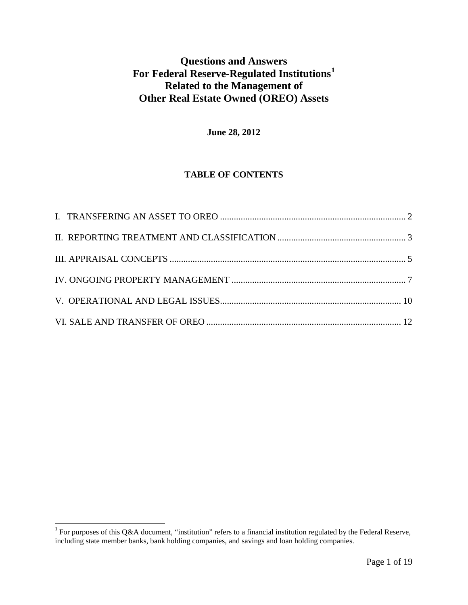# **Questions and Answers For Federal Reserve-Regulated Institutions[1](#page-0-0) Related to the Management of Other Real Estate Owned (OREO) Assets**

# **June 28, 2012**

# **TABLE OF CONTENTS**

<span id="page-0-0"></span><sup>&</sup>lt;sup>1</sup> For purposes of this Q&A document, "institution" refers to a financial institution regulated by the Federal Reserve, including state member banks, bank holding companies, and savings and loan holding companies.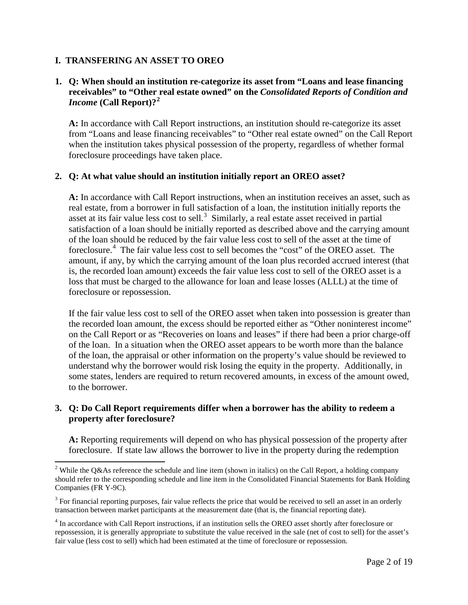### <span id="page-1-0"></span>**I. TRANSFERING AN ASSET TO OREO**

### **1. Q: When should an institution re-categorize its asset from "Loans and lease financing receivables" to "Other real estate owned" on the** *Consolidated Reports of Condition and Income* **(Call Report)?[2](#page-1-1)**

**A:** In accordance with Call Report instructions, an institution should re-categorize its asset from "Loans and lease financing receivables" to "Other real estate owned" on the Call Report when the institution takes physical possession of the property, regardless of whether formal foreclosure proceedings have taken place.

#### **2. Q: At what value should an institution initially report an OREO asset?**

**A:** In accordance with Call Report instructions, when an institution receives an asset, such as real estate, from a borrower in full satisfaction of a loan, the institution initially reports the asset at its fair value less cost to sell.<sup>[3](#page-1-2)</sup> Similarly, a real estate asset received in partial satisfaction of a loan should be initially reported as described above and the carrying amount of the loan should be reduced by the fair value less cost to sell of the asset at the time of foreclosure.<sup>[4](#page-1-3)</sup> The fair value less cost to sell becomes the "cost" of the OREO asset. The amount, if any, by which the carrying amount of the loan plus recorded accrued interest (that is, the recorded loan amount) exceeds the fair value less cost to sell of the OREO asset is a loss that must be charged to the allowance for loan and lease losses (ALLL) at the time of foreclosure or repossession.

If the fair value less cost to sell of the OREO asset when taken into possession is greater than the recorded loan amount, the excess should be reported either as "Other noninterest income" on the Call Report or as "Recoveries on loans and leases" if there had been a prior charge-off of the loan. In a situation when the OREO asset appears to be worth more than the balance of the loan, the appraisal or other information on the property's value should be reviewed to understand why the borrower would risk losing the equity in the property. Additionally, in some states, lenders are required to return recovered amounts, in excess of the amount owed, to the borrower.

#### **3. Q: Do Call Report requirements differ when a borrower has the ability to redeem a property after foreclosure?**

**A:** Reporting requirements will depend on who has physical possession of the property after foreclosure. If state law allows the borrower to live in the property during the redemption

<span id="page-1-1"></span><sup>&</sup>lt;sup>2</sup> While the O&As reference the schedule and line item (shown in italics) on the Call Report, a holding company should refer to the corresponding schedule and line item in the Consolidated Financial Statements for Bank Holding Companies (FR Y-9C).

<span id="page-1-2"></span> $3$  For financial reporting purposes, fair value reflects the price that would be received to sell an asset in an orderly transaction between market participants at the measurement date (that is, the financial reporting date).

<span id="page-1-3"></span><sup>4</sup> In accordance with Call Report instructions, if an institution sells the OREO asset shortly after foreclosure or repossession, it is generally appropriate to substitute the value received in the sale (net of cost to sell) for the asset's fair value (less cost to sell) which had been estimated at the time of foreclosure or repossession.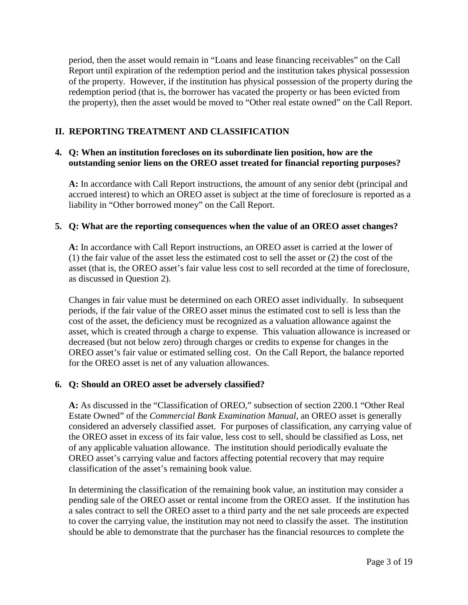period, then the asset would remain in "Loans and lease financing receivables" on the Call Report until expiration of the redemption period and the institution takes physical possession of the property. However, if the institution has physical possession of the property during the redemption period (that is, the borrower has vacated the property or has been evicted from the property), then the asset would be moved to "Other real estate owned" on the Call Report.

# <span id="page-2-0"></span>**II. REPORTING TREATMENT AND CLASSIFICATION**

### **4. Q: When an institution forecloses on its subordinate lien position, how are the outstanding senior liens on the OREO asset treated for financial reporting purposes?**

**A:** In accordance with Call Report instructions, the amount of any senior debt (principal and accrued interest) to which an OREO asset is subject at the time of foreclosure is reported as a liability in "Other borrowed money" on the Call Report.

### **5. Q: What are the reporting consequences when the value of an OREO asset changes?**

**A:** In accordance with Call Report instructions, an OREO asset is carried at the lower of (1) the fair value of the asset less the estimated cost to sell the asset or (2) the cost of the asset (that is, the OREO asset's fair value less cost to sell recorded at the time of foreclosure, as discussed in Question 2).

Changes in fair value must be determined on each OREO asset individually. In subsequent periods, if the fair value of the OREO asset minus the estimated cost to sell is less than the cost of the asset, the deficiency must be recognized as a valuation allowance against the asset, which is created through a charge to expense. This valuation allowance is increased or decreased (but not below zero) through charges or credits to expense for changes in the OREO asset's fair value or estimated selling cost. On the Call Report, the balance reported for the OREO asset is net of any valuation allowances.

# **6. Q: Should an OREO asset be adversely classified?**

**A:** As discussed in the "Classification of OREO," subsection of section 2200.1 "Other Real Estate Owned" of the *Commercial Bank Examination Manual*, an OREO asset is generally considered an adversely classified asset. For purposes of classification, any carrying value of the OREO asset in excess of its fair value, less cost to sell, should be classified as Loss, net of any applicable valuation allowance. The institution should periodically evaluate the OREO asset's carrying value and factors affecting potential recovery that may require classification of the asset's remaining book value.

In determining the classification of the remaining book value, an institution may consider a pending sale of the OREO asset or rental income from the OREO asset. If the institution has a sales contract to sell the OREO asset to a third party and the net sale proceeds are expected to cover the carrying value, the institution may not need to classify the asset. The institution should be able to demonstrate that the purchaser has the financial resources to complete the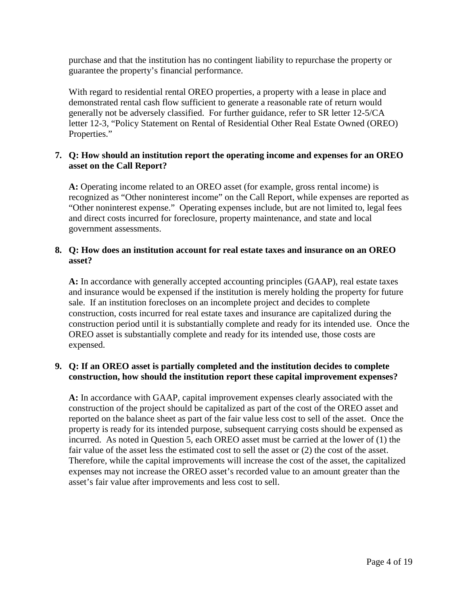purchase and that the institution has no contingent liability to repurchase the property or guarantee the property's financial performance.

With regard to residential rental OREO properties, a property with a lease in place and demonstrated rental cash flow sufficient to generate a reasonable rate of return would generally not be adversely classified. For further guidance, refer to SR letter 12-5/CA letter 12-3, "Policy Statement on Rental of Residential Other Real Estate Owned (OREO) Properties."

# **7. Q: How should an institution report the operating income and expenses for an OREO asset on the Call Report?**

**A:** Operating income related to an OREO asset (for example, gross rental income) is recognized as "Other noninterest income" on the Call Report, while expenses are reported as "Other noninterest expense." Operating expenses include, but are not limited to, legal fees and direct costs incurred for foreclosure, property maintenance, and state and local government assessments.

### **8. Q: How does an institution account for real estate taxes and insurance on an OREO asset?**

**A:** In accordance with generally accepted accounting principles (GAAP), real estate taxes and insurance would be expensed if the institution is merely holding the property for future sale. If an institution forecloses on an incomplete project and decides to complete construction, costs incurred for real estate taxes and insurance are capitalized during the construction period until it is substantially complete and ready for its intended use. Once the OREO asset is substantially complete and ready for its intended use, those costs are expensed.

# **9. Q: If an OREO asset is partially completed and the institution decides to complete construction, how should the institution report these capital improvement expenses?**

**A:** In accordance with GAAP, capital improvement expenses clearly associated with the construction of the project should be capitalized as part of the cost of the OREO asset and reported on the balance sheet as part of the fair value less cost to sell of the asset. Once the property is ready for its intended purpose, subsequent carrying costs should be expensed as incurred. As noted in Question 5, each OREO asset must be carried at the lower of (1) the fair value of the asset less the estimated cost to sell the asset or (2) the cost of the asset. Therefore, while the capital improvements will increase the cost of the asset, the capitalized expenses may not increase the OREO asset's recorded value to an amount greater than the asset's fair value after improvements and less cost to sell.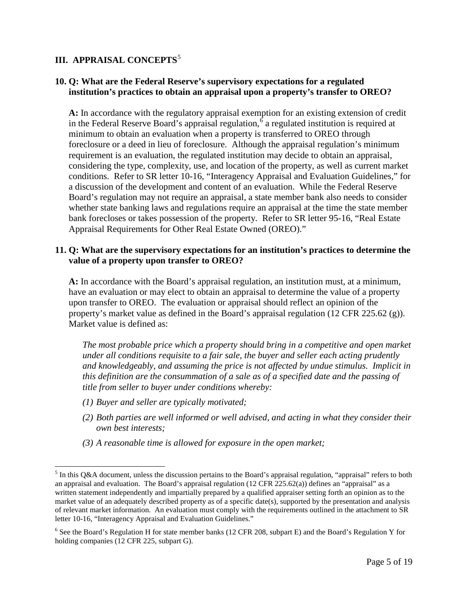# <span id="page-4-0"></span>**III. APPRAISAL CONCEPTS<sup>[5](#page-4-1)</sup>**

### **10. Q: What are the Federal Reserve's supervisory expectations for a regulated institution's practices to obtain an appraisal upon a property's transfer to OREO?**

**A:** In accordance with the regulatory appraisal exemption for an existing extension of credit in the Federal Reserve Board's appraisal regulation, [6](#page-4-2) a regulated institution is required at minimum to obtain an evaluation when a property is transferred to OREO through foreclosure or a deed in lieu of foreclosure. Although the appraisal regulation's minimum requirement is an evaluation, the regulated institution may decide to obtain an appraisal, considering the type, complexity, use, and location of the property, as well as current market conditions. Refer to SR letter 10-16, "Interagency Appraisal and Evaluation Guidelines," for a discussion of the development and content of an evaluation. While the Federal Reserve Board's regulation may not require an appraisal, a state member bank also needs to consider whether state banking laws and regulations require an appraisal at the time the state member bank forecloses or takes possession of the property. Refer to SR letter 95-16, "Real Estate Appraisal Requirements for Other Real Estate Owned (OREO)."

#### **11. Q: What are the supervisory expectations for an institution's practices to determine the value of a property upon transfer to OREO?**

**A:** In accordance with the Board's appraisal regulation, an institution must, at a minimum, have an evaluation or may elect to obtain an appraisal to determine the value of a property upon transfer to OREO. The evaluation or appraisal should reflect an opinion of the property's market value as defined in the Board's appraisal regulation (12 CFR 225.62 (g)). Market value is defined as:

*The most probable price which a property should bring in a competitive and open market under all conditions requisite to a fair sale, the buyer and seller each acting prudently and knowledgeably, and assuming the price is not affected by undue stimulus. Implicit in this definition are the consummation of a sale as of a specified date and the passing of title from seller to buyer under conditions whereby:* 

- *(1) Buyer and seller are typically motivated;*
- *(2) Both parties are well informed or well advised, and acting in what they consider their own best interests;*
- *(3) A reasonable time is allowed for exposure in the open market;*

<span id="page-4-1"></span> $<sup>5</sup>$  In this Q&A document, unless the discussion pertains to the Board's appraisal regulation, "appraisal" refers to both</sup> an appraisal and evaluation. The Board's appraisal regulation (12 CFR 225.62(a)) defines an "appraisal" as a written statement independently and impartially prepared by a qualified appraiser setting forth an opinion as to the market value of an adequately described property as of a specific date(s), supported by the presentation and analysis of relevant market information. An evaluation must comply with the requirements outlined in the attachment to SR letter 10-16, "Interagency Appraisal and Evaluation Guidelines."

<span id="page-4-2"></span><sup>&</sup>lt;sup>6</sup> See the Board's Regulation H for state member banks (12 CFR 208, subpart E) and the Board's Regulation Y for holding companies (12 CFR 225, subpart G).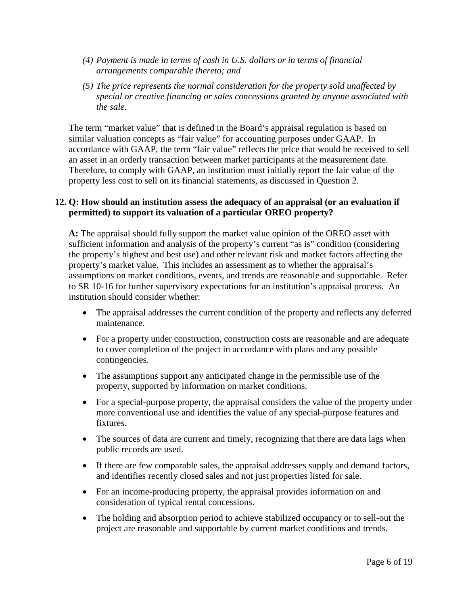- *(4) Payment is made in terms of cash in U.S. dollars or in terms of financial arrangements comparable thereto; and*
- *(5) The price represents the normal consideration for the property sold unaffected by special or creative financing or sales concessions granted by anyone associated with the sale.*

The term "market value" that is defined in the Board's appraisal regulation is based on similar valuation concepts as "fair value" for accounting purposes under GAAP. In accordance with GAAP, the term "fair value" reflects the price that would be received to sell an asset in an orderly transaction between market participants at the measurement date. Therefore, to comply with GAAP, an institution must initially report the fair value of the property less cost to sell on its financial statements, as discussed in Question 2.

### **12. Q: How should an institution assess the adequacy of an appraisal (or an evaluation if permitted) to support its valuation of a particular OREO property?**

**A:** The appraisal should fully support the market value opinion of the OREO asset with sufficient information and analysis of the property's current "as is" condition (considering the property's highest and best use) and other relevant risk and market factors affecting the property's market value. This includes an assessment as to whether the appraisal's assumptions on market conditions, events, and trends are reasonable and supportable. Refer to SR 10-16 for further supervisory expectations for an institution's appraisal process. An institution should consider whether:

- The appraisal addresses the current condition of the property and reflects any deferred maintenance.
- For a property under construction, construction costs are reasonable and are adequate to cover completion of the project in accordance with plans and any possible contingencies.
- The assumptions support any anticipated change in the permissible use of the property, supported by information on market conditions.
- For a special-purpose property, the appraisal considers the value of the property under more conventional use and identifies the value of any special-purpose features and fixtures.
- The sources of data are current and timely, recognizing that there are data lags when public records are used.
- If there are few comparable sales, the appraisal addresses supply and demand factors, and identifies recently closed sales and not just properties listed for sale.
- For an income-producing property, the appraisal provides information on and consideration of typical rental concessions.
- The holding and absorption period to achieve stabilized occupancy or to sell-out the project are reasonable and supportable by current market conditions and trends.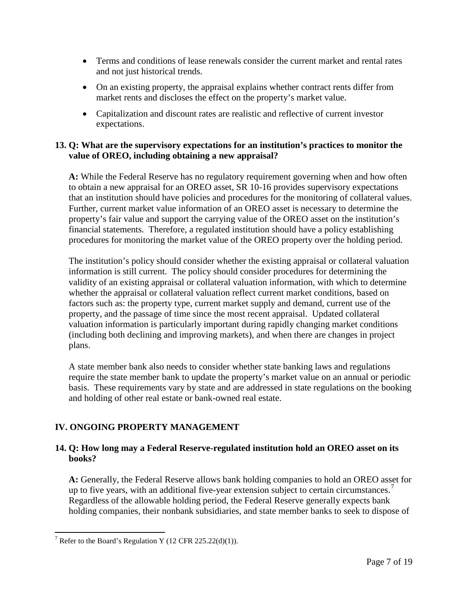- Terms and conditions of lease renewals consider the current market and rental rates and not just historical trends.
- On an existing property, the appraisal explains whether contract rents differ from market rents and discloses the effect on the property's market value.
- Capitalization and discount rates are realistic and reflective of current investor expectations.

### **13. Q: What are the supervisory expectations for an institution's practices to monitor the value of OREO, including obtaining a new appraisal?**

**A:** While the Federal Reserve has no regulatory requirement governing when and how often to obtain a new appraisal for an OREO asset, SR 10-16 provides supervisory expectations that an institution should have policies and procedures for the monitoring of collateral values. Further, current market value information of an OREO asset is necessary to determine the property's fair value and support the carrying value of the OREO asset on the institution's financial statements. Therefore, a regulated institution should have a policy establishing procedures for monitoring the market value of the OREO property over the holding period.

The institution's policy should consider whether the existing appraisal or collateral valuation information is still current. The policy should consider procedures for determining the validity of an existing appraisal or collateral valuation information, with which to determine whether the appraisal or collateral valuation reflect current market conditions, based on factors such as: the property type, current market supply and demand, current use of the property, and the passage of time since the most recent appraisal. Updated collateral valuation information is particularly important during rapidly changing market conditions (including both declining and improving markets), and when there are changes in project plans.

A state member bank also needs to consider whether state banking laws and regulations require the state member bank to update the property's market value on an annual or periodic basis. These requirements vary by state and are addressed in state regulations on the booking and holding of other real estate or bank-owned real estate.

# <span id="page-6-0"></span>**IV. ONGOING PROPERTY MANAGEMENT**

# **14. Q: How long may a Federal Reserve-regulated institution hold an OREO asset on its books?**

**A:** Generally, the Federal Reserve allows bank holding companies to hold an OREO asset for up to five years, with an additional five-year extension subject to certain circumstances.<sup>[7](#page-6-1)</sup> Regardless of the allowable holding period, the Federal Reserve generally expects bank holding companies, their nonbank subsidiaries, and state member banks to seek to dispose of

<span id="page-6-1"></span><sup>&</sup>lt;sup>7</sup> Refer to the Board's Regulation Y (12 CFR 225.22(d)(1)).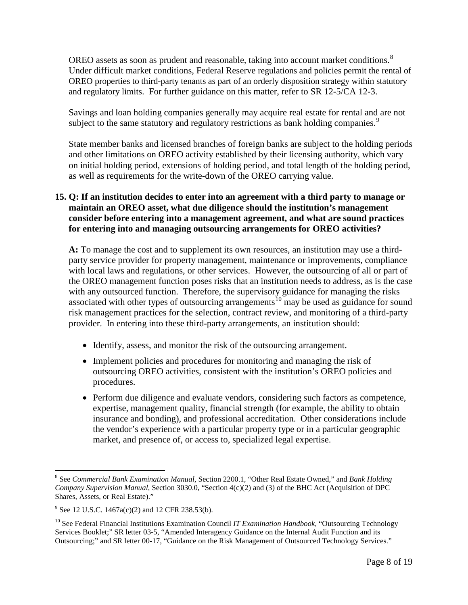OREO assets as soon as prudent and reasonable, taking into account market conditions.<sup>[8](#page-7-0)</sup> Under difficult market conditions, Federal Reserve regulations and policies permit the rental of OREO properties to third-party tenants as part of an orderly disposition strategy within statutory and regulatory limits. For further guidance on this matter, refer to SR 12-5/CA 12-3.

Savings and loan holding companies generally may acquire real estate for rental and are not subject to the same statutory and regulatory restrictions as bank holding companies.<sup>[9](#page-7-1)</sup>

State member banks and licensed branches of foreign banks are subject to the holding periods and other limitations on OREO activity established by their licensing authority, which vary on initial holding period, extensions of holding period, and total length of the holding period, as well as requirements for the write-down of the OREO carrying value.

### **15. Q: If an institution decides to enter into an agreement with a third party to manage or maintain an OREO asset, what due diligence should the institution's management consider before entering into a management agreement, and what are sound practices for entering into and managing outsourcing arrangements for OREO activities?**

**A:** To manage the cost and to supplement its own resources, an institution may use a thirdparty service provider for property management, maintenance or improvements, compliance with local laws and regulations, or other services. However, the outsourcing of all or part of the OREO management function poses risks that an institution needs to address, as is the case with any outsourced function. Therefore, the supervisory guidance for managing the risks associated with other types of outsourcing arrangements<sup>[10](#page-7-2)</sup> may be used as guidance for sound risk management practices for the selection, contract review, and monitoring of a third-party provider. In entering into these third-party arrangements, an institution should:

- Identify, assess, and monitor the risk of the outsourcing arrangement.
- Implement policies and procedures for monitoring and managing the risk of outsourcing OREO activities, consistent with the institution's OREO policies and procedures.
- Perform due diligence and evaluate vendors, considering such factors as competence, expertise, management quality, financial strength (for example, the ability to obtain insurance and bonding), and professional accreditation. Other considerations include the vendor's experience with a particular property type or in a particular geographic market, and presence of, or access to, specialized legal expertise.

<span id="page-7-0"></span><sup>8</sup> See *Commercial Bank Examination Manual*, Section 2200.1, "Other Real Estate Owned," and *Bank Holding Company Supervision Manual*, Section 3030.0, "Section 4(c)(2) and (3) of the BHC Act (Acquisition of DPC Shares, Assets, or Real Estate)."

<span id="page-7-1"></span> $9^9$  See 12 U.S.C. 1467a(c)(2) and 12 CFR 238.53(b).

<span id="page-7-2"></span><sup>10</sup> See Federal Financial Institutions Examination Council *IT Examination Handbook*, "Outsourcing Technology Services Booklet;" SR letter 03-5, "Amended Interagency Guidance on the Internal Audit Function and its Outsourcing;" and SR letter 00-17, "Guidance on the Risk Management of Outsourced Technology Services."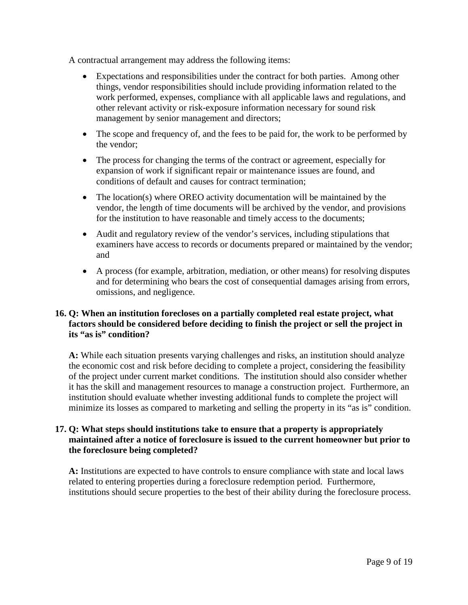A contractual arrangement may address the following items:

- Expectations and responsibilities under the contract for both parties. Among other things, vendor responsibilities should include providing information related to the work performed, expenses, compliance with all applicable laws and regulations, and other relevant activity or risk-exposure information necessary for sound risk management by senior management and directors;
- The scope and frequency of, and the fees to be paid for, the work to be performed by the vendor;
- The process for changing the terms of the contract or agreement, especially for expansion of work if significant repair or maintenance issues are found, and conditions of default and causes for contract termination;
- The location(s) where OREO activity documentation will be maintained by the vendor, the length of time documents will be archived by the vendor, and provisions for the institution to have reasonable and timely access to the documents;
- Audit and regulatory review of the vendor's services, including stipulations that examiners have access to records or documents prepared or maintained by the vendor; and
- A process (for example, arbitration, mediation, or other means) for resolving disputes and for determining who bears the cost of consequential damages arising from errors, omissions, and negligence.

# **16. Q: When an institution forecloses on a partially completed real estate project, what factors should be considered before deciding to finish the project or sell the project in its "as is" condition?**

**A:** While each situation presents varying challenges and risks, an institution should analyze the economic cost and risk before deciding to complete a project, considering the feasibility of the project under current market conditions. The institution should also consider whether it has the skill and management resources to manage a construction project. Furthermore, an institution should evaluate whether investing additional funds to complete the project will minimize its losses as compared to marketing and selling the property in its "as is" condition.

# **17. Q: What steps should institutions take to ensure that a property is appropriately maintained after a notice of foreclosure is issued to the current homeowner but prior to the foreclosure being completed?**

**A:** Institutions are expected to have controls to ensure compliance with state and local laws related to entering properties during a foreclosure redemption period. Furthermore, institutions should secure properties to the best of their ability during the foreclosure process.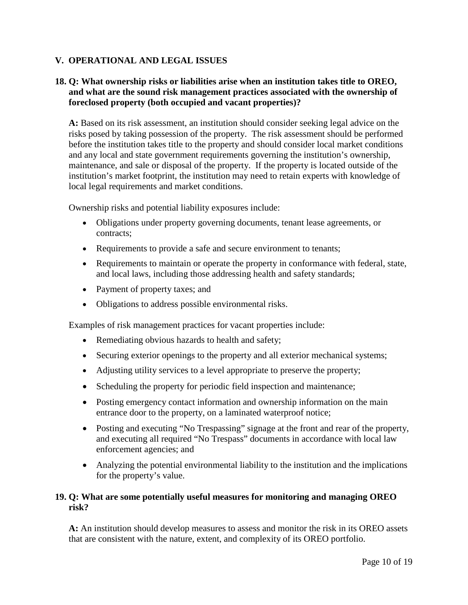# <span id="page-9-0"></span>**V. OPERATIONAL AND LEGAL ISSUES**

### **18. Q: What ownership risks or liabilities arise when an institution takes title to OREO, and what are the sound risk management practices associated with the ownership of foreclosed property (both occupied and vacant properties)?**

**A:** Based on its risk assessment, an institution should consider seeking legal advice on the risks posed by taking possession of the property. The risk assessment should be performed before the institution takes title to the property and should consider local market conditions and any local and state government requirements governing the institution's ownership, maintenance, and sale or disposal of the property. If the property is located outside of the institution's market footprint, the institution may need to retain experts with knowledge of local legal requirements and market conditions.

Ownership risks and potential liability exposures include:

- Obligations under property governing documents, tenant lease agreements, or contracts;
- Requirements to provide a safe and secure environment to tenants;
- Requirements to maintain or operate the property in conformance with federal, state, and local laws, including those addressing health and safety standards;
- Payment of property taxes; and
- Obligations to address possible environmental risks.

Examples of risk management practices for vacant properties include:

- Remediating obvious hazards to health and safety;
- Securing exterior openings to the property and all exterior mechanical systems;
- Adjusting utility services to a level appropriate to preserve the property;
- Scheduling the property for periodic field inspection and maintenance;
- Posting emergency contact information and ownership information on the main entrance door to the property, on a laminated waterproof notice;
- Posting and executing "No Trespassing" signage at the front and rear of the property, and executing all required "No Trespass" documents in accordance with local law enforcement agencies; and
- Analyzing the potential environmental liability to the institution and the implications for the property's value.

#### **19. Q: What are some potentially useful measures for monitoring and managing OREO risk?**

**A:** An institution should develop measures to assess and monitor the risk in its OREO assets that are consistent with the nature, extent, and complexity of its OREO portfolio.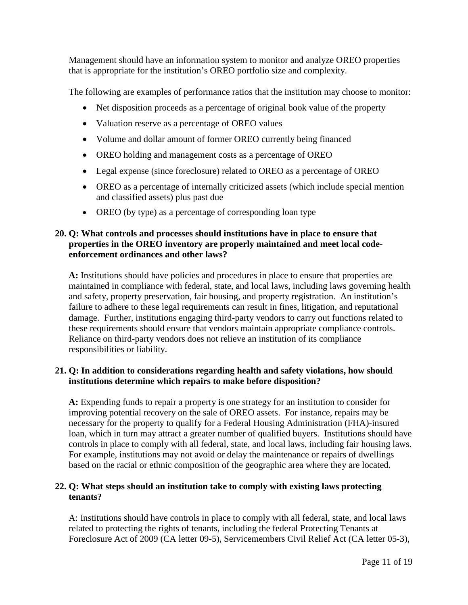Management should have an information system to monitor and analyze OREO properties that is appropriate for the institution's OREO portfolio size and complexity.

The following are examples of performance ratios that the institution may choose to monitor:

- Net disposition proceeds as a percentage of original book value of the property
- Valuation reserve as a percentage of OREO values
- Volume and dollar amount of former OREO currently being financed
- OREO holding and management costs as a percentage of OREO
- Legal expense (since foreclosure) related to OREO as a percentage of OREO
- OREO as a percentage of internally criticized assets (which include special mention and classified assets) plus past due
- OREO (by type) as a percentage of corresponding loan type

# **20. Q: What controls and processes should institutions have in place to ensure that properties in the OREO inventory are properly maintained and meet local codeenforcement ordinances and other laws?**

**A:** Institutions should have policies and procedures in place to ensure that properties are maintained in compliance with federal, state, and local laws, including laws governing health and safety, property preservation, fair housing, and property registration. An institution's failure to adhere to these legal requirements can result in fines, litigation, and reputational damage. Further, institutions engaging third-party vendors to carry out functions related to these requirements should ensure that vendors maintain appropriate compliance controls. Reliance on third-party vendors does not relieve an institution of its compliance responsibilities or liability.

# **21. Q: In addition to considerations regarding health and safety violations, how should institutions determine which repairs to make before disposition?**

**A:** Expending funds to repair a property is one strategy for an institution to consider for improving potential recovery on the sale of OREO assets. For instance, repairs may be necessary for the property to qualify for a Federal Housing Administration (FHA)-insured loan, which in turn may attract a greater number of qualified buyers. Institutions should have controls in place to comply with all federal, state, and local laws, including fair housing laws. For example, institutions may not avoid or delay the maintenance or repairs of dwellings based on the racial or ethnic composition of the geographic area where they are located.

# **22. Q: What steps should an institution take to comply with existing laws protecting tenants?**

A: Institutions should have controls in place to comply with all federal, state, and local laws related to protecting the rights of tenants, including the federal Protecting Tenants at Foreclosure Act of 2009 (CA letter 09-5), Servicemembers Civil Relief Act (CA letter 05-3),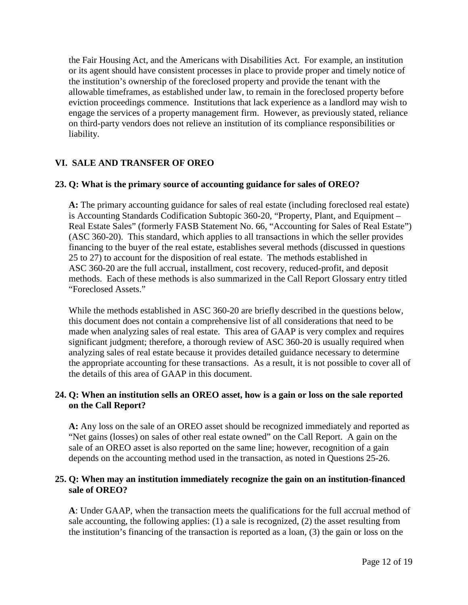the Fair Housing Act, and the Americans with Disabilities Act. For example, an institution or its agent should have consistent processes in place to provide proper and timely notice of the institution's ownership of the foreclosed property and provide the tenant with the allowable timeframes, as established under law, to remain in the foreclosed property before eviction proceedings commence. Institutions that lack experience as a landlord may wish to engage the services of a property management firm. However, as previously stated, reliance on third-party vendors does not relieve an institution of its compliance responsibilities or liability.

# <span id="page-11-0"></span>**VI. SALE AND TRANSFER OF OREO**

### **23. Q: What is the primary source of accounting guidance for sales of OREO?**

**A:** The primary accounting guidance for sales of real estate (including foreclosed real estate) is Accounting Standards Codification Subtopic 360-20, "Property, Plant, and Equipment – Real Estate Sales" (formerly FASB Statement No. 66, "Accounting for Sales of Real Estate") (ASC 360-20). This standard, which applies to all transactions in which the seller provides financing to the buyer of the real estate, establishes several methods (discussed in questions 25 to 27) to account for the disposition of real estate. The methods established in ASC 360-20 are the full accrual, installment, cost recovery, reduced-profit, and deposit methods. Each of these methods is also summarized in the Call Report Glossary entry titled "Foreclosed Assets."

While the methods established in ASC 360-20 are briefly described in the questions below, this document does not contain a comprehensive list of all considerations that need to be made when analyzing sales of real estate. This area of GAAP is very complex and requires significant judgment; therefore, a thorough review of ASC 360-20 is usually required when analyzing sales of real estate because it provides detailed guidance necessary to determine the appropriate accounting for these transactions. As a result, it is not possible to cover all of the details of this area of GAAP in this document.

### **24. Q: When an institution sells an OREO asset, how is a gain or loss on the sale reported on the Call Report?**

**A:** Any loss on the sale of an OREO asset should be recognized immediately and reported as "Net gains (losses) on sales of other real estate owned" on the Call Report. A gain on the sale of an OREO asset is also reported on the same line; however, recognition of a gain depends on the accounting method used in the transaction, as noted in Questions 25-26.

### **25. Q: When may an institution immediately recognize the gain on an institution-financed sale of OREO?**

**A**: Under GAAP, when the transaction meets the qualifications for the full accrual method of sale accounting, the following applies: (1) a sale is recognized, (2) the asset resulting from the institution's financing of the transaction is reported as a loan, (3) the gain or loss on the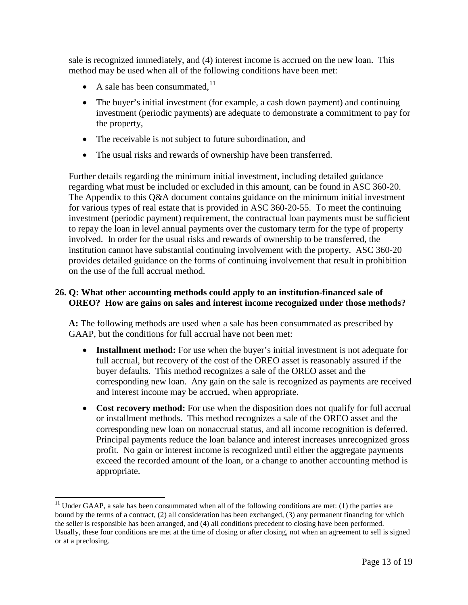sale is recognized immediately, and (4) interest income is accrued on the new loan. This method may be used when all of the following conditions have been met:

- A sale has been consummated,  $^{11}$  $^{11}$  $^{11}$
- The buyer's initial investment (for example, a cash down payment) and continuing investment (periodic payments) are adequate to demonstrate a commitment to pay for the property,
- The receivable is not subject to future subordination, and
- The usual risks and rewards of ownership have been transferred.

Further details regarding the minimum initial investment, including detailed guidance regarding what must be included or excluded in this amount, can be found in ASC 360-20. The Appendix to this Q&A document contains guidance on the minimum initial investment for various types of real estate that is provided in ASC 360-20-55. To meet the continuing investment (periodic payment) requirement, the contractual loan payments must be sufficient to repay the loan in level annual payments over the customary term for the type of property involved. In order for the usual risks and rewards of ownership to be transferred, the institution cannot have substantial continuing involvement with the property. ASC 360-20 provides detailed guidance on the forms of continuing involvement that result in prohibition on the use of the full accrual method.

# **26. Q: What other accounting methods could apply to an institution-financed sale of OREO? How are gains on sales and interest income recognized under those methods?**

**A:** The following methods are used when a sale has been consummated as prescribed by GAAP, but the conditions for full accrual have not been met:

- **Installment method:** For use when the buyer's initial investment is not adequate for full accrual, but recovery of the cost of the OREO asset is reasonably assured if the buyer defaults. This method recognizes a sale of the OREO asset and the corresponding new loan. Any gain on the sale is recognized as payments are received and interest income may be accrued, when appropriate.
- **Cost recovery method:** For use when the disposition does not qualify for full accrual or installment methods. This method recognizes a sale of the OREO asset and the corresponding new loan on nonaccrual status, and all income recognition is deferred. Principal payments reduce the loan balance and interest increases unrecognized gross profit. No gain or interest income is recognized until either the aggregate payments exceed the recorded amount of the loan, or a change to another accounting method is appropriate.

<span id="page-12-0"></span> $11$  Under GAAP, a sale has been consummated when all of the following conditions are met: (1) the parties are bound by the terms of a contract, (2) all consideration has been exchanged, (3) any permanent financing for which the seller is responsible has been arranged, and (4) all conditions precedent to closing have been performed. Usually, these four conditions are met at the time of closing or after closing, not when an agreement to sell is signed or at a preclosing.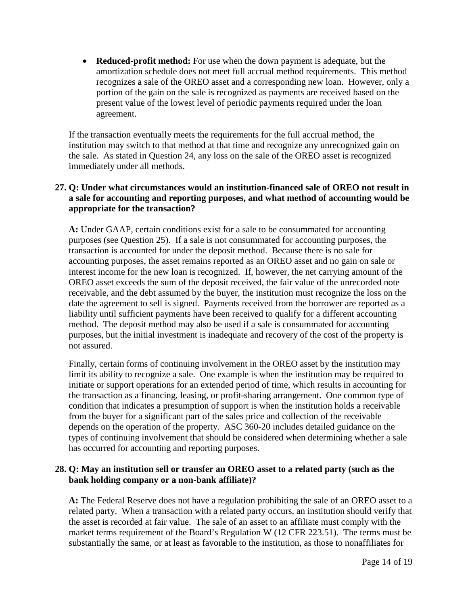• **Reduced-profit method:** For use when the down payment is adequate, but the amortization schedule does not meet full accrual method requirements. This method recognizes a sale of the OREO asset and a corresponding new loan. However, only a portion of the gain on the sale is recognized as payments are received based on the present value of the lowest level of periodic payments required under the loan agreement.

If the transaction eventually meets the requirements for the full accrual method, the institution may switch to that method at that time and recognize any unrecognized gain on the sale. As stated in Question 24, any loss on the sale of the OREO asset is recognized immediately under all methods.

### **27. Q: Under what circumstances would an institution-financed sale of OREO not result in a sale for accounting and reporting purposes, and what method of accounting would be appropriate for the transaction?**

**A:** Under GAAP, certain conditions exist for a sale to be consummated for accounting purposes (see Question 25). If a sale is not consummated for accounting purposes, the transaction is accounted for under the deposit method. Because there is no sale for accounting purposes, the asset remains reported as an OREO asset and no gain on sale or interest income for the new loan is recognized. If, however, the net carrying amount of the OREO asset exceeds the sum of the deposit received, the fair value of the unrecorded note receivable, and the debt assumed by the buyer, the institution must recognize the loss on the date the agreement to sell is signed. Payments received from the borrower are reported as a liability until sufficient payments have been received to qualify for a different accounting method. The deposit method may also be used if a sale is consummated for accounting purposes, but the initial investment is inadequate and recovery of the cost of the property is not assured.

Finally, certain forms of continuing involvement in the OREO asset by the institution may limit its ability to recognize a sale. One example is when the institution may be required to initiate or support operations for an extended period of time, which results in accounting for the transaction as a financing, leasing, or profit-sharing arrangement. One common type of condition that indicates a presumption of support is when the institution holds a receivable from the buyer for a significant part of the sales price and collection of the receivable depends on the operation of the property. ASC 360-20 includes detailed guidance on the types of continuing involvement that should be considered when determining whether a sale has occurred for accounting and reporting purposes.

# **28. Q: May an institution sell or transfer an OREO asset to a related party (such as the bank holding company or a non-bank affiliate)?**

**A:** The Federal Reserve does not have a regulation prohibiting the sale of an OREO asset to a related party. When a transaction with a related party occurs, an institution should verify that the asset is recorded at fair value. The sale of an asset to an affiliate must comply with the market terms requirement of the Board's Regulation W (12 CFR 223.51). The terms must be substantially the same, or at least as favorable to the institution, as those to nonaffiliates for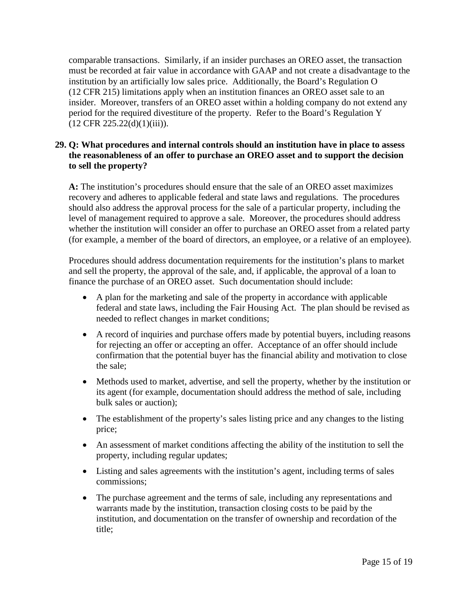comparable transactions. Similarly, if an insider purchases an OREO asset, the transaction must be recorded at fair value in accordance with GAAP and not create a disadvantage to the institution by an artificially low sales price. Additionally, the Board's Regulation O (12 CFR 215) limitations apply when an institution finances an OREO asset sale to an insider. Moreover, transfers of an OREO asset within a holding company do not extend any period for the required divestiture of the property. Refer to the Board's Regulation Y  $(12$  CFR  $225.22(d)(1)(iii))$ .

# **29. Q: What procedures and internal controls should an institution have in place to assess the reasonableness of an offer to purchase an OREO asset and to support the decision to sell the property?**

**A:** The institution's procedures should ensure that the sale of an OREO asset maximizes recovery and adheres to applicable federal and state laws and regulations. The procedures should also address the approval process for the sale of a particular property, including the level of management required to approve a sale. Moreover, the procedures should address whether the institution will consider an offer to purchase an OREO asset from a related party (for example, a member of the board of directors, an employee, or a relative of an employee).

Procedures should address documentation requirements for the institution's plans to market and sell the property, the approval of the sale, and, if applicable, the approval of a loan to finance the purchase of an OREO asset. Such documentation should include:

- A plan for the marketing and sale of the property in accordance with applicable federal and state laws, including the Fair Housing Act. The plan should be revised as needed to reflect changes in market conditions;
- A record of inquiries and purchase offers made by potential buyers, including reasons for rejecting an offer or accepting an offer. Acceptance of an offer should include confirmation that the potential buyer has the financial ability and motivation to close the sale;
- Methods used to market, advertise, and sell the property, whether by the institution or its agent (for example, documentation should address the method of sale, including bulk sales or auction);
- The establishment of the property's sales listing price and any changes to the listing price;
- An assessment of market conditions affecting the ability of the institution to sell the property, including regular updates;
- Listing and sales agreements with the institution's agent, including terms of sales commissions;
- The purchase agreement and the terms of sale, including any representations and warrants made by the institution, transaction closing costs to be paid by the institution, and documentation on the transfer of ownership and recordation of the title;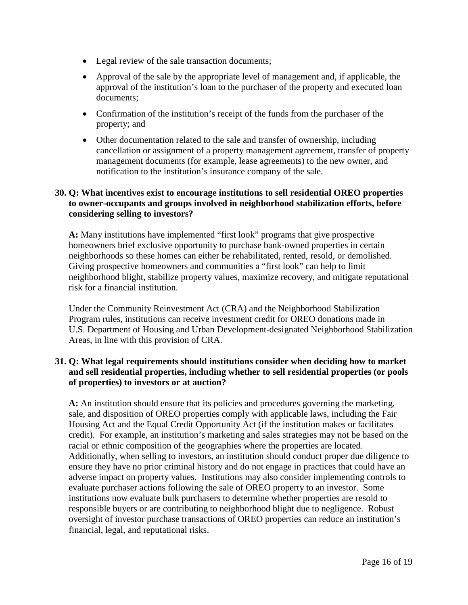- Legal review of the sale transaction documents;
- Approval of the sale by the appropriate level of management and, if applicable, the approval of the institution's loan to the purchaser of the property and executed loan documents;
- Confirmation of the institution's receipt of the funds from the purchaser of the property; and
- Other documentation related to the sale and transfer of ownership, including cancellation or assignment of a property management agreement, transfer of property management documents (for example, lease agreements) to the new owner, and notification to the institution's insurance company of the sale.

### **30. Q: What incentives exist to encourage institutions to sell residential OREO properties to owner-occupants and groups involved in neighborhood stabilization efforts, before considering selling to investors?**

**A:** Many institutions have implemented "first look" programs that give prospective homeowners brief exclusive opportunity to purchase bank-owned properties in certain neighborhoods so these homes can either be rehabilitated, rented, resold, or demolished. Giving prospective homeowners and communities a "first look" can help to limit neighborhood blight, stabilize property values, maximize recovery, and mitigate reputational risk for a financial institution.

Under the Community Reinvestment Act (CRA) and the Neighborhood Stabilization Program rules, institutions can receive investment credit for OREO donations made in U.S. Department of Housing and Urban Development-designated Neighborhood Stabilization Areas, in line with this provision of CRA.

# **31. Q: What legal requirements should institutions consider when deciding how to market and sell residential properties, including whether to sell residential properties (or pools of properties) to investors or at auction?**

**A:** An institution should ensure that its policies and procedures governing the marketing, sale, and disposition of OREO properties comply with applicable laws, including the Fair Housing Act and the Equal Credit Opportunity Act (if the institution makes or facilitates credit). For example, an institution's marketing and sales strategies may not be based on the racial or ethnic composition of the geographies where the properties are located. Additionally, when selling to investors, an institution should conduct proper due diligence to ensure they have no prior criminal history and do not engage in practices that could have an adverse impact on property values. Institutions may also consider implementing controls to evaluate purchaser actions following the sale of OREO property to an investor. Some institutions now evaluate bulk purchasers to determine whether properties are resold to responsible buyers or are contributing to neighborhood blight due to negligence. Robust oversight of investor purchase transactions of OREO properties can reduce an institution's financial, legal, and reputational risks.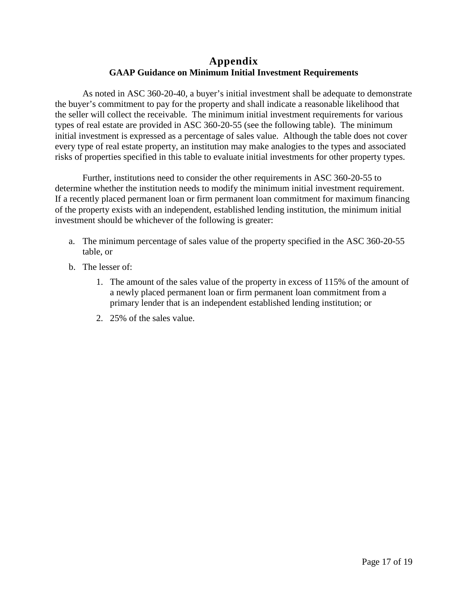# **Appendix GAAP Guidance on Minimum Initial Investment Requirements**

As noted in ASC 360-20-40, a buyer's initial investment shall be adequate to demonstrate the buyer's commitment to pay for the property and shall indicate a reasonable likelihood that the seller will collect the receivable. The minimum initial investment requirements for various types of real estate are provided in ASC 360-20-55 (see the following table). The minimum initial investment is expressed as a percentage of sales value. Although the table does not cover every type of real estate property, an institution may make analogies to the types and associated risks of properties specified in this table to evaluate initial investments for other property types.

Further, institutions need to consider the other requirements in ASC 360-20-55 to determine whether the institution needs to modify the minimum initial investment requirement. If a recently placed permanent loan or firm permanent loan commitment for maximum financing of the property exists with an independent, established lending institution, the minimum initial investment should be whichever of the following is greater:

- a. The minimum percentage of sales value of the property specified in the ASC 360-20-55 table, or
- b. The lesser of:
	- 1. The amount of the sales value of the property in excess of 115% of the amount of a newly placed permanent loan or firm permanent loan commitment from a primary lender that is an independent established lending institution; or
	- 2. 25% of the sales value.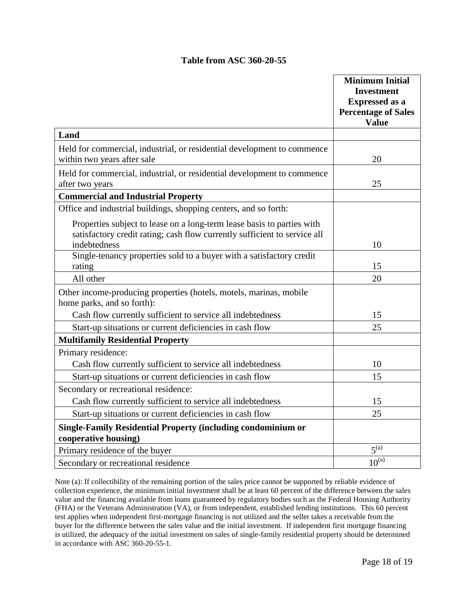### **Table from ASC 360-20-55**

|                                                                                                                                                     | <b>Minimum Initial</b>                     |
|-----------------------------------------------------------------------------------------------------------------------------------------------------|--------------------------------------------|
|                                                                                                                                                     | <b>Investment</b>                          |
|                                                                                                                                                     | <b>Expressed as a</b>                      |
|                                                                                                                                                     | <b>Percentage of Sales</b><br><b>Value</b> |
| Land                                                                                                                                                |                                            |
|                                                                                                                                                     |                                            |
| Held for commercial, industrial, or residential development to commence<br>within two years after sale                                              | 20                                         |
| Held for commercial, industrial, or residential development to commence<br>after two years                                                          | 25                                         |
| <b>Commercial and Industrial Property</b>                                                                                                           |                                            |
| Office and industrial buildings, shopping centers, and so forth:                                                                                    |                                            |
| Properties subject to lease on a long-term lease basis to parties with<br>satisfactory credit rating; cash flow currently sufficient to service all |                                            |
| indebtedness                                                                                                                                        | 10                                         |
| Single-tenancy properties sold to a buyer with a satisfactory credit                                                                                |                                            |
| rating                                                                                                                                              | 15                                         |
| All other                                                                                                                                           | 20                                         |
| Other income-producing properties (hotels, motels, marinas, mobile<br>home parks, and so forth):                                                    |                                            |
| Cash flow currently sufficient to service all indebtedness                                                                                          | 15                                         |
| Start-up situations or current deficiencies in cash flow                                                                                            | 25                                         |
| <b>Multifamily Residential Property</b>                                                                                                             |                                            |
| Primary residence:                                                                                                                                  |                                            |
| Cash flow currently sufficient to service all indebtedness                                                                                          | 10                                         |
| Start-up situations or current deficiencies in cash flow                                                                                            | 15                                         |
| Secondary or recreational residence:                                                                                                                |                                            |
| Cash flow currently sufficient to service all indebtedness                                                                                          | 15                                         |
| Start-up situations or current deficiencies in cash flow                                                                                            | 25                                         |
| <b>Single-Family Residential Property (including condominium or</b><br>cooperative housing)                                                         |                                            |
| Primary residence of the buyer                                                                                                                      | $5^{(a)}$                                  |
| Secondary or recreational residence                                                                                                                 | $10^{(a)}$                                 |

Note (a): If collectibility of the remaining portion of the sales price cannot be supported by reliable evidence of collection experience, the minimum initial investment shall be at least 60 percent of the difference between the sales value and the financing available from loans guaranteed by regulatory bodies such as the Federal Housing Authority (FHA) or the Veterans Administration (VA), or from independent, established lending institutions. This 60 percent test applies when independent first-mortgage financing is not utilized and the seller takes a receivable from the buyer for the difference between the sales value and the initial investment. If independent first mortgage financing is utilized, the adequacy of the initial investment on sales of single-family residential property should be determined in accordance with ASC 360-20-55-1.